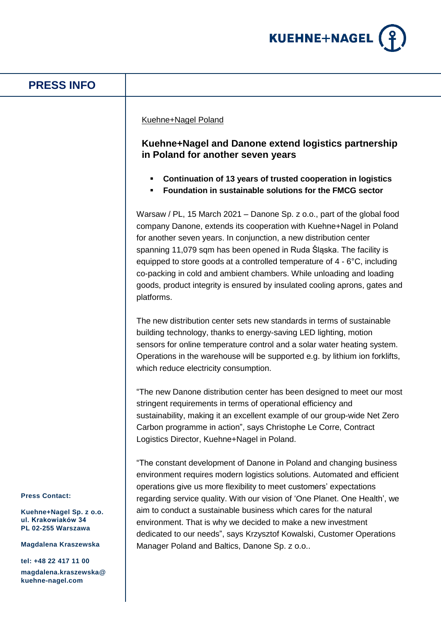

# **PRESS INFO**

### Kuehne+Nagel Poland

## **Kuehne+Nagel and Danone extend logistics partnership in Poland for another seven years**

- **Continuation of 13 years of trusted cooperation in logistics**
- **Foundation in sustainable solutions for the FMCG sector**

Warsaw / PL, 15 March 2021 – Danone Sp. z o.o., part of the global food company Danone, extends its cooperation with Kuehne+Nagel in Poland for another seven years. In conjunction, a new distribution center spanning 11,079 sqm has been opened in Ruda Śląska. The facility is equipped to store goods at a controlled temperature of 4 - 6°C, including co-packing in cold and ambient chambers. While unloading and loading goods, product integrity is ensured by insulated cooling aprons, gates and platforms.

The new distribution center sets new standards in terms of sustainable building technology, thanks to energy-saving LED lighting, motion sensors for online temperature control and a solar water heating system. Operations in the warehouse will be supported e.g. by lithium ion forklifts, which reduce electricity consumption.

"The new Danone distribution center has been designed to meet our most stringent requirements in terms of operational efficiency and sustainability, making it an excellent example of our group-wide Net Zero Carbon programme in action", says Christophe Le Corre, Contract Logistics Director, Kuehne+Nagel in Poland.

"The constant development of Danone in Poland and changing business environment requires modern logistics solutions. Automated and efficient operations give us more flexibility to meet customers' expectations regarding service quality. With our vision of 'One Planet. One Health', we aim to conduct a sustainable business which cares for the natural environment. That is why we decided to make a new investment dedicated to our needs", says Krzysztof Kowalski, Customer Operations Manager Poland and Baltics, Danone Sp. z o.o..

**Press Contact:**

**Kuehne+Nagel Sp. z o.o. ul. Krakowiaków 34 PL 02-255 Warszawa**

**Magdalena Kraszewska**

**tel: +48 22 417 11 00 magdalena.kraszewska@ kuehne-nagel.com**